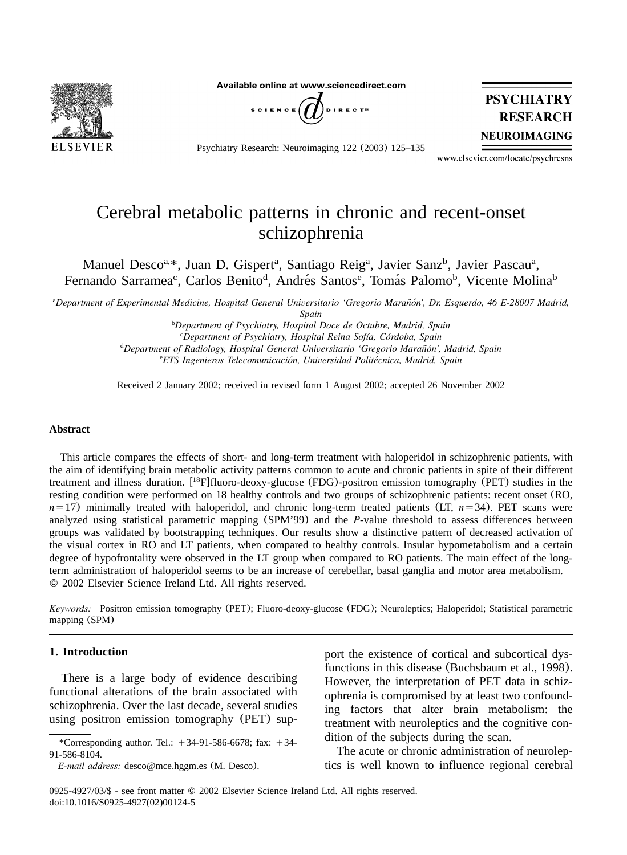

Available online at www.sciencedirect.com



Psychiatry Research: Neuroimaging 122 (2003) 125–135



www.elsevier.com/locate/psychresns

# Cerebral metabolic patterns in chronic and recent-onset schizophrenia

Manuel Desco<sup>a, \*</sup>, Juan D. Gispert<sup>a</sup>, Santiago Reig<sup>a</sup>, Javier Sanz<sup>b</sup>, Javier Pascau<sup>a</sup>, Fernando Sarramea<sup>c</sup>, Carlos Benito<sup>d</sup>, Andrés Santos<sup>e</sup>, Tomás Palomo<sup>b</sup>, Vicente Molina<sup>b</sup>

<sup>a</sup>Department of Experimental Medicine, Hospital General Universitario 'Gregorio Marañón', Dr. Esquerdo, 46 E-28007 Madrid,

*Spain*

*Department of Psychiatry, Hospital Doce de Octubre, Madrid, Spain* <sup>b</sup> *Department of Psychiatry, Hospital Reina Sofıa, Cordoba, Spain* <sup>c</sup> *´ ´* <sup>d</sup>Department of Radiology, Hospital General Universitario 'Gregorio Marañón', Madrid, Spain *ETS Ingenieros Telecomunicacion, Universidad Politecnica, Madrid, Spain* <sup>e</sup> *´ ´*

Received 2 January 2002; received in revised form 1 August 2002; accepted 26 November 2002

#### **Abstract**

This article compares the effects of short- and long-term treatment with haloperidol in schizophrenic patients, with the aim of identifying brain metabolic activity patterns common to acute and chronic patients in spite of their different treatment and illness duration.  $[{}^{18}F]$ fluoro-deoxy-glucose (FDG)-positron emission tomography (PET) studies in the resting condition were performed on 18 healthy controls and two groups of schizophrenic patients: recent onset (RO,  $n=17$ ) minimally treated with haloperidol, and chronic long-term treated patients (LT,  $n=34$ ). PET scans were analyzed using statistical parametric mapping (SPM'99) and the *P*-value threshold to assess differences between groups was validated by bootstrapping techniques. Our results show a distinctive pattern of decreased activation of the visual cortex in RO and LT patients, when compared to healthy controls. Insular hypometabolism and a certain degree of hypofrontality were observed in the LT group when compared to RO patients. The main effect of the longterm administration of haloperidol seems to be an increase of cerebellar, basal ganglia and motor area metabolism. 2002 Elsevier Science Ireland Ltd. All rights reserved.

*Keywords:* Positron emission tomography (PET); Fluoro-deoxy-glucose (FDG); Neuroleptics; Haloperidol; Statistical parametric mapping (SPM)

# **1. Introduction**

There is a large body of evidence describing functional alterations of the brain associated with schizophrenia. Over the last decade, several studies using positron emission tomography (PET) sup-

*E-mail address:* desco@mce.hggm.es (M. Desco).

port the existence of cortical and subcortical dysfunctions in this disease ([Buchsbaum et al., 1998](#page-8-0)). However, the interpretation of PET data in schizophrenia is compromised by at least two confounding factors that alter brain metabolism: the treatment with neuroleptics and the cognitive condition of the subjects during the scan.

The acute or chronic administration of neuroleptics is well known to influence regional cerebral

0925-4927/03/\$ - see front matter  $©$  2002 Elsevier Science Ireland Ltd. All rights reserved. doi:10.1016/S0925-4927(02)00124-5

<sup>\*</sup>Corresponding author. Tel.:  $+34-91-586-6678$ ; fax:  $+34-$ 91-586-8104.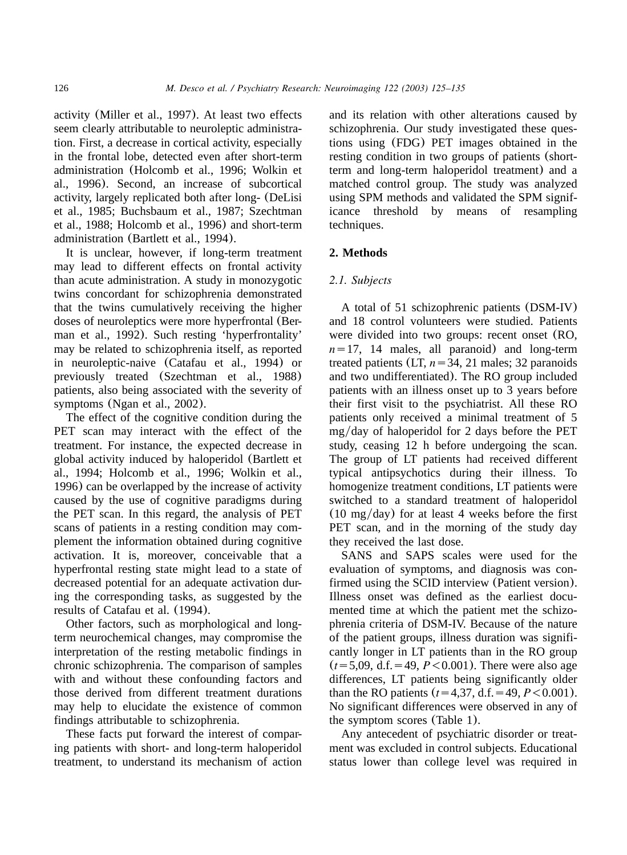<span id="page-1-0"></span>activity ([Miller et al., 1997](#page-9-0)). At least two effects seem clearly attributable to neuroleptic administration. First, a decrease in cortical activity, especially in the frontal lobe, detected even after short-term administration ([Holcomb et al., 1996; Wolkin et](#page-9-0) [al., 1996](#page-9-0)). Second, an increase of subcortical activity, largely replicated both after long- ([DeLisi](#page-9-0) [et al., 1985; Buchsbaum et al., 1987; Szechtman](#page-9-0) [et al., 1988; Holcomb et al., 1996](#page-9-0)) and short-term administration ([Bartlett et al., 1994](#page-8-0)).

It is unclear, however, if long-term treatment may lead to different effects on frontal activity than acute administration. A study in monozygotic twins concordant for schizophrenia demonstrated that the twins cumulatively receiving the higher doses of neuroleptics were more hyperfrontal ([Ber](#page-8-0)[man et al., 1992](#page-8-0)). Such resting 'hyperfrontality' may be related to schizophrenia itself, as reported in neuroleptic-naive ([Catafau et al., 1994](#page-8-0)) or previously treated ([Szechtman et al., 1988](#page-10-0)) patients, also being associated with the severity of symptoms ([Ngan et al., 2002](#page-9-0)).

The effect of the cognitive condition during the PET scan may interact with the effect of the treatment. For instance, the expected decrease in global activity induced by haloperidol ([Bartlett et](#page-8-0) [al., 1994; Holcomb et al., 1996; Wolkin et al.,](#page-8-0) [1996](#page-8-0)) can be overlapped by the increase of activity caused by the use of cognitive paradigms during the PET scan. In this regard, the analysis of PET scans of patients in a resting condition may complement the information obtained during cognitive activation. It is, moreover, conceivable that a hyperfrontal resting state might lead to a state of decreased potential for an adequate activation during the corresponding tasks, as suggested by the results of [Catafau et al.](#page-8-0) (1994).

Other factors, such as morphological and longterm neurochemical changes, may compromise the interpretation of the resting metabolic findings in chronic schizophrenia. The comparison of samples with and without these confounding factors and those derived from different treatment durations may help to elucidate the existence of common findings attributable to schizophrenia.

These facts put forward the interest of comparing patients with short- and long-term haloperidol treatment, to understand its mechanism of action

and its relation with other alterations caused by schizophrenia. Our study investigated these questions using (FDG) PET images obtained in the resting condition in two groups of patients (shortterm and long-term haloperidol treatment) and a matched control group. The study was analyzed using SPM methods and validated the SPM significance threshold by means of resampling techniques.

# **2. Methods**

## *2.1. Subjects*

A total of 51 schizophrenic patients (DSM-IV) and 18 control volunteers were studied. Patients were divided into two groups: recent onset (RO,  $n=17$ , 14 males, all paranoid) and long-term treated patients (LT,  $n=34$ , 21 males; 32 paranoids and two undifferentiated). The RO group included patients with an illness onset up to 3 years before their first visit to the psychiatrist. All these RO patients only received a minimal treatment of 5  $mg/day$  of haloperidol for 2 days before the PET study, ceasing 12 h before undergoing the scan. The group of LT patients had received different typical antipsychotics during their illness. To homogenize treatment conditions, LT patients were switched to a standard treatment of haloperidol  $(10 \text{ mg/day})$  for at least 4 weeks before the first PET scan, and in the morning of the study day they received the last dose.

SANS and SAPS scales were used for the evaluation of symptoms, and diagnosis was confirmed using the SCID interview (Patient version). Illness onset was defined as the earliest documented time at which the patient met the schizophrenia criteria of DSM-IV. Because of the nature of the patient groups, illness duration was significantly longer in LT patients than in the RO group  $(t=5,09, d.f. = 49, P < 0.001)$ . There were also age differences, LT patients being significantly older than the RO patients  $(t=4,37, d.f. = 49, P < 0.001)$ . No significant differences were observed in any of the symptom scores ([Table 1](#page-2-0)).

Any antecedent of psychiatric disorder or treatment was excluded in control subjects. Educational status lower than college level was required in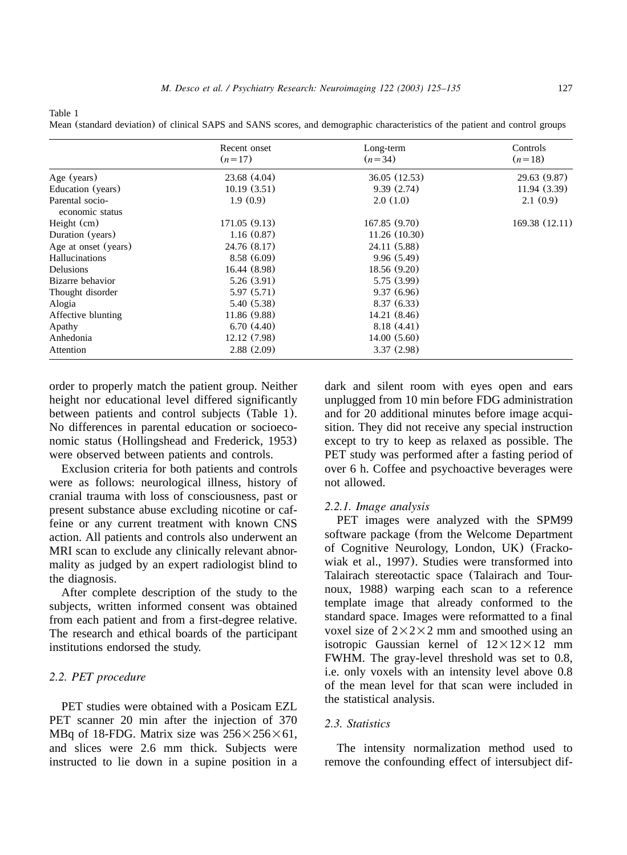<span id="page-2-0"></span>Table 1

Mean (standard deviation) of clinical SAPS and SANS scores, and demographic characteristics of the patient and control groups

|                                    | Recent onset<br>$(n=17)$ | Long-term<br>$(n=34)$ | Controls<br>$(n=18)$ |
|------------------------------------|--------------------------|-----------------------|----------------------|
|                                    |                          |                       |                      |
| Age (years)                        | 23.68 (4.04)             | 36.05 (12.53)         | 29.63 (9.87)         |
| Education (years)                  | 10.19(3.51)              | 9.39(2.74)            | 11.94 (3.39)         |
| Parental socio-<br>economic status | 1.9(0.9)                 | 2.0(1.0)              | 2.1(0.9)             |
| Height $(cm)$                      | 171.05 (9.13)            | 167.85(9.70)          | 169.38 (12.11)       |
| Duration (years)                   | 1.16(0.87)               | 11.26(10.30)          |                      |
| Age at onset (years)               | 24.76 (8.17)             | 24.11 (5.88)          |                      |
| <b>Hallucinations</b>              | 8.58(6.09)               | 9.96(5.49)            |                      |
| Delusions                          | 16.44 (8.98)             | 18.56 (9.20)          |                      |
| Bizarre behavior                   | 5.26(3.91)               | 5.75 (3.99)           |                      |
| Thought disorder                   | 5.97(5.71)               | 9.37(6.96)            |                      |
| Alogia                             | 5.40 (5.38)              | 8.37(6.33)            |                      |
| Affective blunting                 | 11.86 (9.88)             | 14.21 (8.46)          |                      |
| Apathy                             | 6.70(4.40)               | 8.18(4.41)            |                      |
| Anhedonia                          | 12.12 (7.98)             | 14.00(5.60)           |                      |
| Attention                          | 2.88(2.09)               | 3.37(2.98)            |                      |

order to properly match the patient group. Neither height nor educational level differed significantly between patients and control subjects (Table 1). No differences in parental education or socioeconomic status ([Hollingshead and Frederick, 1953](#page-9-0)) were observed between patients and controls.

Exclusion criteria for both patients and controls were as follows: neurological illness, history of cranial trauma with loss of consciousness, past or present substance abuse excluding nicotine or caffeine or any current treatment with known CNS action. All patients and controls also underwent an MRI scan to exclude any clinically relevant abnormality as judged by an expert radiologist blind to the diagnosis.

After complete description of the study to the subjects, written informed consent was obtained from each patient and from a first-degree relative. The research and ethical boards of the participant institutions endorsed the study.

# *2.2. PET procedure*

PET studies were obtained with a Posicam EZL PET scanner 20 min after the injection of 370 MBq of 18-FDG. Matrix size was  $256\times256\times61$ , and slices were 2.6 mm thick. Subjects were instructed to lie down in a supine position in a dark and silent room with eyes open and ears unplugged from 10 min before FDG administration and for 20 additional minutes before image acquisition. They did not receive any special instruction except to try to keep as relaxed as possible. The PET study was performed after a fasting period of over 6 h. Coffee and psychoactive beverages were not allowed.

#### *2.2.1. Image analysis*

PET images were analyzed with the SPM99 software package (from the Welcome Department of Cognitive Neurology, London, UK) ([Fracko](#page-9-0)[wiak et al., 1997](#page-9-0)). Studies were transformed into Talairach stereotactic space ([Talairach and Tour](#page-10-0)[noux, 1988](#page-10-0)) warping each scan to a reference template image that already conformed to the standard space. Images were reformatted to a final voxel size of  $2\times2\times2$  mm and smoothed using an isotropic Gaussian kernel of  $12\times12\times12$  mm FWHM. The gray-level threshold was set to 0.8, i.e. only voxels with an intensity level above 0.8 of the mean level for that scan were included in the statistical analysis.

# *2.3. Statistics*

The intensity normalization method used to remove the confounding effect of intersubject dif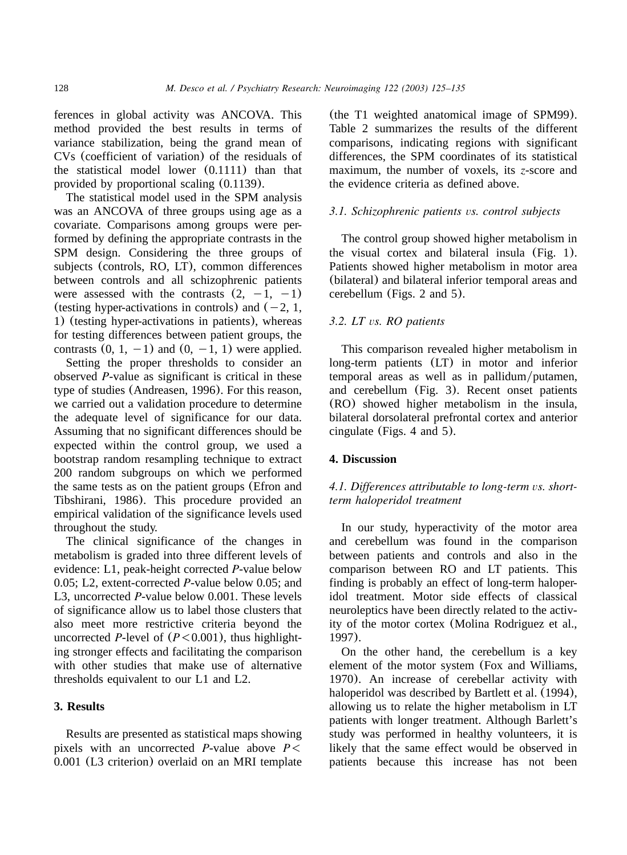ferences in global activity was ANCOVA. This method provided the best results in terms of variance stabilization, being the grand mean of CVs (coefficient of variation) of the residuals of the statistical model lower (0.1111) than that provided by proportional scaling (0.1139).

The statistical model used in the SPM analysis was an ANCOVA of three groups using age as a covariate. Comparisons among groups were performed by defining the appropriate contrasts in the SPM design. Considering the three groups of subjects (controls, RO, LT), common differences between controls and all schizophrenic patients were assessed with the contrasts  $(2, -1, -1)$ (testing hyper-activations in controls) and  $(-2, 1, 1)$ 1) (testing hyper-activations in patients), whereas for testing differences between patient groups, the contrasts  $(0, 1, -1)$  and  $(0, -1, 1)$  were applied.

Setting the proper thresholds to consider an observed *P*-value as significant is critical in these type of studies ([Andreasen, 1996](#page-8-0)). For this reason, we carried out a validation procedure to determine the adequate level of significance for our data. Assuming that no significant differences should be expected within the control group, we used a bootstrap random resampling technique to extract 200 random subgroups on which we performed the same tests as on the patient groups ([Efron and](#page-9-0) [Tibshirani, 1986](#page-9-0)). This procedure provided an empirical validation of the significance levels used throughout the study.

The clinical significance of the changes in metabolism is graded into three different levels of evidence: L1, peak-height corrected *P*-value below 0.05; L2, extent-corrected *P*-value below 0.05; and L3, uncorrected *P*-value below 0.001. These levels of significance allow us to label those clusters that also meet more restrictive criteria beyond the uncorrected *P*-level of  $(P<0.001)$ , thus highlighting stronger effects and facilitating the comparison with other studies that make use of alternative thresholds equivalent to our L1 and L2.

## **3. Results**

Results are presented as statistical maps showing pixels with an uncorrected *P*-value above  $P \leq$ 0.001 (L3 criterion) overlaid on an MRI template

(the T1 weighted anatomical image of SPM99). [Table 2](#page-4-0) summarizes the results of the different comparisons, indicating regions with significant differences, the SPM coordinates of its statistical maximum, the number of voxels, its *z*-score and the evidence criteria as defined above.

# *3.1. Schizophrenic patients vs. control subjects*

The control group showed higher metabolism in the visual cortex and bilateral insula ([Fig. 1](#page-4-0)). Patients showed higher metabolism in motor area (bilateral) and bilateral inferior temporal areas and cerebellum ([Figs. 2 and 5](#page-5-0)).

#### *3.2. LT vs. RO patients*

This comparison revealed higher metabolism in long-term patients (LT) in motor and inferior  $temporal$  areas as well as in pallidum/putamen, and cerebellum ([Fig. 3](#page-5-0)). Recent onset patients (RO) showed higher metabolism in the insula, bilateral dorsolateral prefrontal cortex and anterior cingulate ([Figs. 4 and 5](#page-6-0)).

# **4. Discussion**

# *4.1. Differences attributable to long-term vs. shortterm haloperidol treatment*

In our study, hyperactivity of the motor area and cerebellum was found in the comparison between patients and controls and also in the comparison between RO and LT patients. This finding is probably an effect of long-term haloperidol treatment. Motor side effects of classical neuroleptics have been directly related to the activity of the motor cortex ([Molina Rodriguez et al.,](#page-9-0) [1997](#page-9-0)).

On the other hand, the cerebellum is a key element of the motor system ([Fox and Williams,](#page-9-0) [1970](#page-9-0)). An increase of cerebellar activity with haloperidol was described by [Bartlett et al.](#page-8-0) (1994), allowing us to relate the higher metabolism in LT patients with longer treatment. Although Barlett's study was performed in healthy volunteers, it is likely that the same effect would be observed in patients because this increase has not been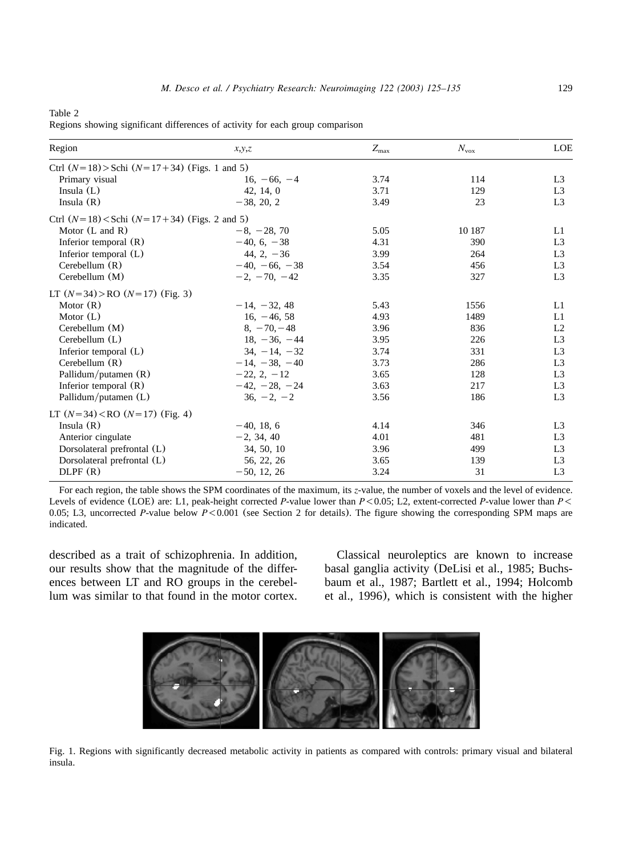<span id="page-4-0"></span>Table 2

Regions showing significant differences of activity for each group comparison

| Region                                           | x,y,z                | $Z_{\rm max}$ | $N_{\rm{vox}}$ | LOE            |
|--------------------------------------------------|----------------------|---------------|----------------|----------------|
| Ctrl $(N=18)$ >Schi $(N=17+34)$ (Figs. 1 and 5)  |                      |               |                |                |
| Primary visual                                   | $16, -66, -4$        | 3.74          | 114            | L <sub>3</sub> |
| Insula $(L)$                                     | 42, 14, 0            | 3.71          | 129            | L <sub>3</sub> |
| Insula $(R)$                                     | $-38, 20, 2$         | 3.49          | 23             | L <sub>3</sub> |
| Ctrl $(N=18)$ < Schi $(N=17+34)$ (Figs. 2 and 5) |                      |               |                |                |
| Motor $(L \text{ and } R)$                       | $-8, -28, 70$        | 5.05          | 10 187         | L1             |
| Inferior temporal $(R)$                          | $-40, 6, -38$        | 4.31          | 390            | L <sub>3</sub> |
| Inferior temporal (L)                            | 44, 2, $-36$         | 3.99          | 264            | L <sub>3</sub> |
| Cerebellum $(R)$                                 | $-40, -66, -38$      | 3.54          | 456            | L <sub>3</sub> |
| Cerebellum (M)                                   | $-2$ , $-70$ , $-42$ | 3.35          | 327            | L <sub>3</sub> |
| LT $(N=34)$ >RO $(N=17)$ (Fig. 3)                |                      |               |                |                |
| Motor $(R)$                                      | $-14, -32, 48$       | 5.43          | 1556           | L1             |
| Motor $(L)$                                      | $16. -46.58$         | 4.93          | 1489           | L1             |
| Cerebellum (M)                                   | $8. -70. -48$        | 3.96          | 836            | L2             |
| Cerebellum $(L)$                                 | $18. -36. -44$       | 3.95          | 226            | L <sub>3</sub> |
| Inferior temporal (L)                            | $34. -14. -32$       | 3.74          | 331            | L <sub>3</sub> |
| Cerebellum $(R)$                                 | $-14, -38, -40$      | 3.73          | 286            | L <sub>3</sub> |
| Pallidum/putamen $(R)$                           | $-22, 2, -12$        | 3.65          | 128            | L <sub>3</sub> |
| Inferior temporal $(R)$                          | $-42, -28, -24$      | 3.63          | 217            | L <sub>3</sub> |
| Pallidum/putamen (L)                             | $36, -2, -2$         | 3.56          | 186            | L <sub>3</sub> |
| LT $(N=34) <$ RO $(N=17)$ (Fig. 4)               |                      |               |                |                |
| Insula $(R)$                                     | $-40, 18, 6$         | 4.14          | 346            | L3             |
| Anterior cingulate                               | $-2, 34, 40$         | 4.01          | 481            | L <sub>3</sub> |
| Dorsolateral prefrontal (L)                      | 34, 50, 10           | 3.96          | 499            | L <sub>3</sub> |
| Dorsolateral prefrontal (L)                      | 56, 22, 26           | 3.65          | 139            | L <sub>3</sub> |
| DLPF(R)                                          | $-50, 12, 26$        | 3.24          | 31             | L <sub>3</sub> |
|                                                  |                      |               |                |                |

For each region, the table shows the SPM coordinates of the maximum, its *z*-value, the number of voxels and the level of evidence. Levels of evidence (LOE) are: L1, peak-height corrected *P*-value lower than *P*-0.05; L2, extent-corrected *P*-value lower than *P*-0.05; L3, uncorrected *P*-value below *P*-0.001 (see [Section 2](#page-1-0) for details). The figure showing the corresponding SPM maps are indicated.

described as a trait of schizophrenia. In addition, our results show that the magnitude of the differences between LT and RO groups in the cerebellum was similar to that found in the motor cortex.

Classical neuroleptics are known to increase basal ganglia activity ([DeLisi et al., 1985; Buchs](#page-9-0)[baum et al., 1987; Bartlett et al., 1994; Holcomb](#page-9-0) [et al., 1996](#page-9-0)), which is consistent with the higher



Fig. 1. Regions with significantly decreased metabolic activity in patients as compared with controls: primary visual and bilateral insula.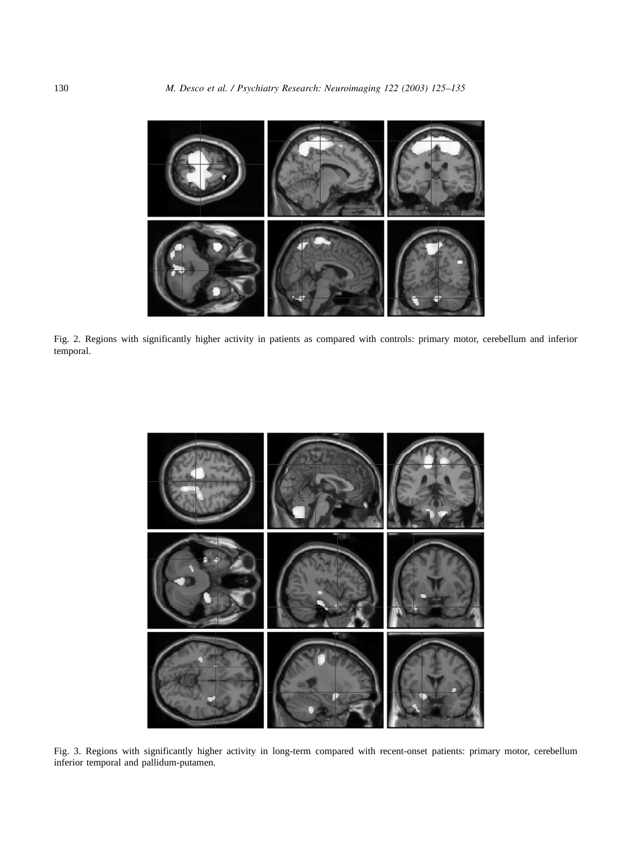<span id="page-5-0"></span>

Fig. 2. Regions with significantly higher activity in patients as compared with controls: primary motor, cerebellum and inferior temporal.



Fig. 3. Regions with significantly higher activity in long-term compared with recent-onset patients: primary motor, cerebellum inferior temporal and pallidum-putamen.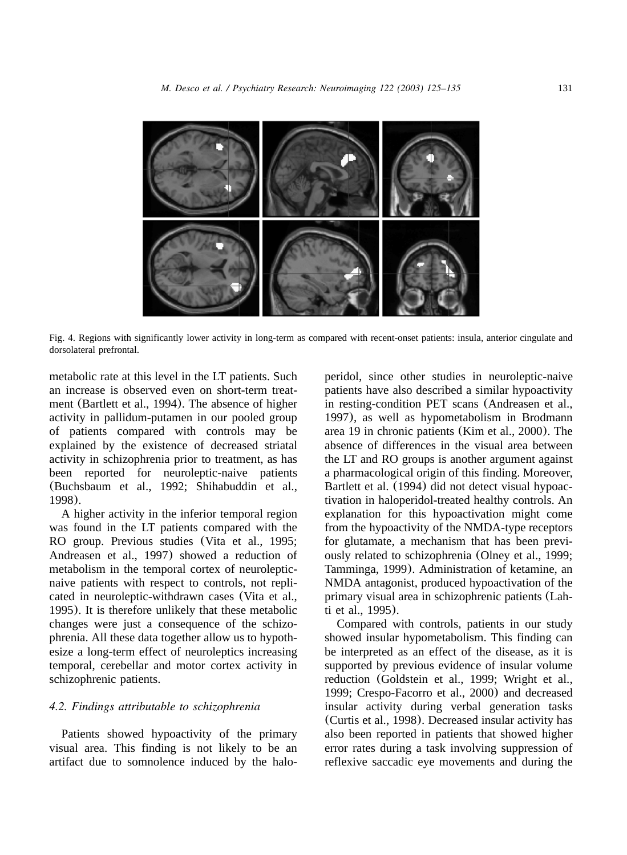<span id="page-6-0"></span>

Fig. 4. Regions with significantly lower activity in long-term as compared with recent-onset patients: insula, anterior cingulate and dorsolateral prefrontal.

metabolic rate at this level in the LT patients. Such an increase is observed even on short-term treatment ([Bartlett et al., 1994](#page-8-0)). The absence of higher activity in pallidum-putamen in our pooled group of patients compared with controls may be explained by the existence of decreased striatal activity in schizophrenia prior to treatment, as has been reported for neuroleptic-naive patients ([Buchsbaum et al., 1992; Shihabuddin et al.,](#page-8-0) [1998](#page-8-0)).

A higher activity in the inferior temporal region was found in the LT patients compared with the RO group. Previous studies ([Vita et al., 1995;](#page-10-0) [Andreasen et al., 1997](#page-10-0)) showed a reduction of metabolism in the temporal cortex of neurolepticnaive patients with respect to controls, not replicated in neuroleptic-withdrawn cases ([Vita et al.,](#page-10-0) [1995](#page-10-0)). It is therefore unlikely that these metabolic changes were just a consequence of the schizophrenia. All these data together allow us to hypothesize a long-term effect of neuroleptics increasing temporal, cerebellar and motor cortex activity in schizophrenic patients.

## *4.2. Findings attributable to schizophrenia*

Patients showed hypoactivity of the primary visual area. This finding is not likely to be an artifact due to somnolence induced by the haloperidol, since other studies in neuroleptic-naive patients have also described a similar hypoactivity in resting-condition PET scans ([Andreasen et al.,](#page-8-0) [1997](#page-8-0)), as well as hypometabolism in Brodmann area 19 in chronic patients ([Kim et al., 2000](#page-9-0)). The absence of differences in the visual area between the LT and RO groups is another argument against a pharmacological origin of this finding. Moreover, [Bartlett et al.](#page-8-0) (1994) did not detect visual hypoactivation in haloperidol-treated healthy controls. An explanation for this hypoactivation might come from the hypoactivity of the NMDA-type receptors for glutamate, a mechanism that has been previously related to schizophrenia ([Olney et al., 1999;](#page-9-0) [Tamminga, 1999](#page-9-0)). Administration of ketamine, an NMDA antagonist, produced hypoactivation of the primary visual area in schizophrenic patients ([Lah](#page-9-0)[ti et al., 1995](#page-9-0)).

Compared with controls, patients in our study showed insular hypometabolism. This finding can be interpreted as an effect of the disease, as it is supported by previous evidence of insular volume reduction ([Goldstein et al., 1999; Wright et al.,](#page-9-0) [1999; Crespo-Facorro et al., 2000](#page-9-0)) and decreased insular activity during verbal generation tasks ([Curtis et al., 1998](#page-9-0)). Decreased insular activity has also been reported in patients that showed higher error rates during a task involving suppression of reflexive saccadic eye movements and during the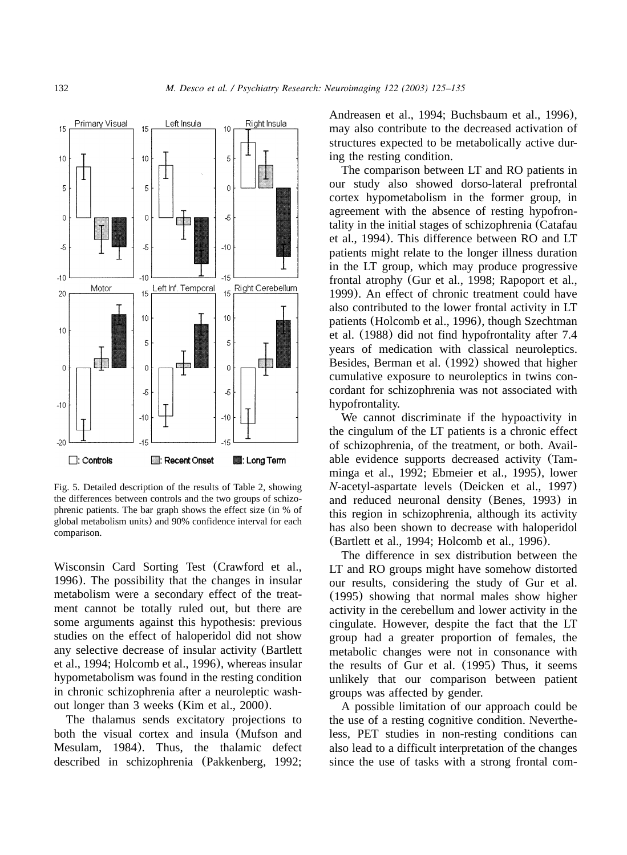

Fig. 5. Detailed description of the results of [Table 2,](#page-4-0) showing the differences between controls and the two groups of schizophrenic patients. The bar graph shows the effect size (in % of global metabolism units) and 90% confidence interval for each comparison.

Wisconsin Card Sorting Test ([Crawford et al.,](#page-9-0) [1996](#page-9-0)). The possibility that the changes in insular metabolism were a secondary effect of the treatment cannot be totally ruled out, but there are some arguments against this hypothesis: previous studies on the effect of haloperidol did not show any selective decrease of insular activity ([Bartlett](#page-8-0) [et al., 1994; Holcomb et al., 1996](#page-8-0)), whereas insular hypometabolism was found in the resting condition in chronic schizophrenia after a neuroleptic washout longer than 3 weeks ([Kim et al., 2000](#page-9-0)).

The thalamus sends excitatory projections to both the visual cortex and insula ([Mufson and](#page-9-0) [Mesulam, 1984](#page-9-0)). Thus, the thalamic defect described in schizophrenia ([Pakkenberg, 1992;](#page-9-0)

[Andreasen et al., 1994; Buchsbaum et al., 1996](#page-9-0)), may also contribute to the decreased activation of structures expected to be metabolically active during the resting condition.

The comparison between LT and RO patients in our study also showed dorso-lateral prefrontal cortex hypometabolism in the former group, in agreement with the absence of resting hypofrontality in the initial stages of schizophrenia ([Catafau](#page-8-0) [et al., 1994](#page-8-0)). This difference between RO and LT patients might relate to the longer illness duration in the LT group, which may produce progressive frontal atrophy ([Gur et al., 1998; Rapoport et al.,](#page-9-0) [1999](#page-9-0)). An effect of chronic treatment could have also contributed to the lower frontal activity in LT patients ([Holcomb et al., 1996](#page-9-0)), though [Szechtman](#page-10-0) [et al.](#page-10-0) (1988) did not find hypofrontality after 7.4 years of medication with classical neuroleptics. Besides, [Berman et al.](#page-8-0) (1992) showed that higher cumulative exposure to neuroleptics in twins concordant for schizophrenia was not associated with hypofrontality.

We cannot discriminate if the hypoactivity in the cingulum of the LT patients is a chronic effect of schizophrenia, of the treatment, or both. Available evidence supports decreased activity ([Tam](#page-10-0)[minga et al., 1992; Ebmeier et al., 1995](#page-10-0)), lower *N*-acetyl-aspartate levels ([Deicken et al., 1997](#page-9-0)) and reduced neuronal density ([Benes, 1993](#page-8-0)) in this region in schizophrenia, although its activity has also been shown to decrease with haloperidol ([Bartlett et al., 1994; Holcomb et al., 1996](#page-8-0)).

The difference in sex distribution between the LT and RO groups might have somehow distorted our results, considering the study of [Gur et al.](#page-9-0) ([1995](#page-9-0)) showing that normal males show higher activity in the cerebellum and lower activity in the cingulate. However, despite the fact that the LT group had a greater proportion of females, the metabolic changes were not in consonance with the results of [Gur et al.](#page-9-0) (1995) Thus, it seems unlikely that our comparison between patient groups was affected by gender.

A possible limitation of our approach could be the use of a resting cognitive condition. Nevertheless, PET studies in non-resting conditions can also lead to a difficult interpretation of the changes since the use of tasks with a strong frontal com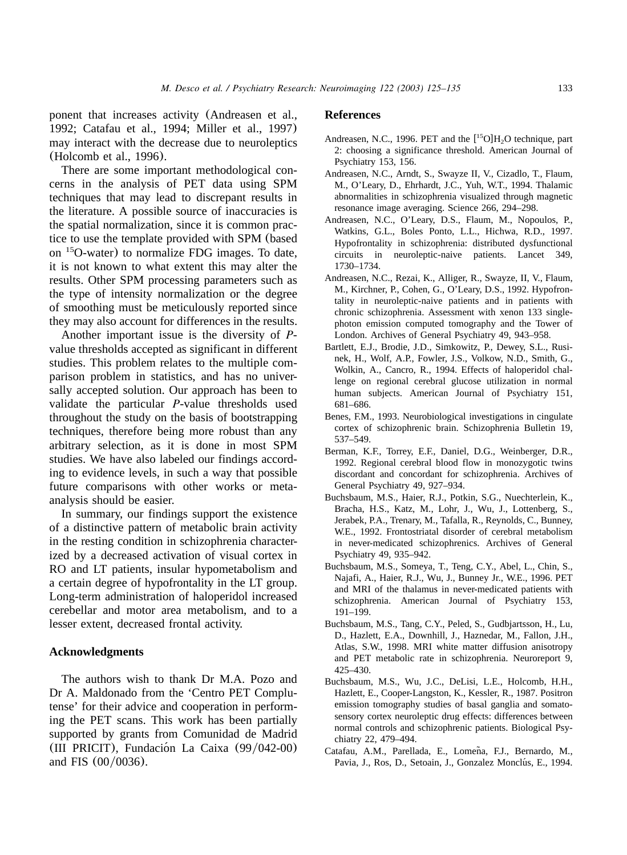<span id="page-8-0"></span>ponent that increases activity (Andreasen et al., 1992; Catafau et al., 1994; Miller et al., 1997) may interact with the decrease due to neuroleptics ([Holcomb et al., 1996](#page-9-0)).

There are some important methodological concerns in the analysis of PET data using SPM techniques that may lead to discrepant results in the literature. A possible source of inaccuracies is the spatial normalization, since it is common practice to use the template provided with SPM (based on  $^{15}$ O-water) to normalize FDG images. To date, it is not known to what extent this may alter the results. Other SPM processing parameters such as the type of intensity normalization or the degree of smoothing must be meticulously reported since they may also account for differences in the results.

Another important issue is the diversity of *P*value thresholds accepted as significant in different studies. This problem relates to the multiple comparison problem in statistics, and has no universally accepted solution. Our approach has been to validate the particular *P*-value thresholds used throughout the study on the basis of bootstrapping techniques, therefore being more robust than any arbitrary selection, as it is done in most SPM studies. We have also labeled our findings according to evidence levels, in such a way that possible future comparisons with other works or metaanalysis should be easier.

In summary, our findings support the existence of a distinctive pattern of metabolic brain activity in the resting condition in schizophrenia characterized by a decreased activation of visual cortex in RO and LT patients, insular hypometabolism and a certain degree of hypofrontality in the LT group. Long-term administration of haloperidol increased cerebellar and motor area metabolism, and to a lesser extent, decreased frontal activity.

#### **Acknowledgments**

The authors wish to thank Dr M.A. Pozo and Dr A. Maldonado from the 'Centro PET Complutense' for their advice and cooperation in performing the PET scans. This work has been partially supported by grants from Comunidad de Madrid (III PRICIT), Fundación La Caixa  $(99/042-00)$ and FIS  $(00/0036)$ .

#### **References**

- Andreasen, N.C., 1996. PET and the  $[{}^{15}O]H_2O$  technique, part 2: choosing a significance threshold. American Journal of Psychiatry 153, 156.
- Andreasen, N.C., Arndt, S., Swayze II, V., Cizadlo, T., Flaum, M., O'Leary, D., Ehrhardt, J.C., Yuh, W.T., 1994. Thalamic abnormalities in schizophrenia visualized through magnetic resonance image averaging. Science 266, 294–298.
- Andreasen, N.C., O'Leary, D.S., Flaum, M., Nopoulos, P., Watkins, G.L., Boles Ponto, L.L., Hichwa, R.D., 1997. Hypofrontality in schizophrenia: distributed dysfunctional circuits in neuroleptic-naive patients. Lancet 349, 1730–1734.
- Andreasen, N.C., Rezai, K., Alliger, R., Swayze, II, V., Flaum, M., Kirchner, P., Cohen, G., O'Leary, D.S., 1992. Hypofrontality in neuroleptic-naive patients and in patients with chronic schizophrenia. Assessment with xenon 133 singlephoton emission computed tomography and the Tower of London. Archives of General Psychiatry 49, 943–958.
- Bartlett, E.J., Brodie, J.D., Simkowitz, P., Dewey, S.L., Rusinek, H., Wolf, A.P., Fowler, J.S., Volkow, N.D., Smith, G., Wolkin, A., Cancro, R., 1994. Effects of haloperidol challenge on regional cerebral glucose utilization in normal human subjects. American Journal of Psychiatry 151, 681–686.
- Benes, F.M., 1993. Neurobiological investigations in cingulate cortex of schizophrenic brain. Schizophrenia Bulletin 19, 537–549.
- Berman, K.F., Torrey, E.F., Daniel, D.G., Weinberger, D.R., 1992. Regional cerebral blood flow in monozygotic twins discordant and concordant for schizophrenia. Archives of General Psychiatry 49, 927–934.
- Buchsbaum, M.S., Haier, R.J., Potkin, S.G., Nuechterlein, K., Bracha, H.S., Katz, M., Lohr, J., Wu, J., Lottenberg, S., Jerabek, P.A., Trenary, M., Tafalla, R., Reynolds, C., Bunney, W.E., 1992. Frontostriatal disorder of cerebral metabolism in never-medicated schizophrenics. Archives of General Psychiatry 49, 935–942.
- Buchsbaum, M.S., Someya, T., Teng, C.Y., Abel, L., Chin, S., Najafi, A., Haier, R.J., Wu, J., Bunney Jr., W.E., 1996. PET and MRI of the thalamus in never-medicated patients with schizophrenia. American Journal of Psychiatry 153, 191–199.
- Buchsbaum, M.S., Tang, C.Y., Peled, S., Gudbjartsson, H., Lu, D., Hazlett, E.A., Downhill, J., Haznedar, M., Fallon, J.H., Atlas, S.W., 1998. MRI white matter diffusion anisotropy and PET metabolic rate in schizophrenia. Neuroreport 9, 425–430.
- Buchsbaum, M.S., Wu, J.C., DeLisi, L.E., Holcomb, H.H., Hazlett, E., Cooper-Langston, K., Kessler, R., 1987. Positron emission tomography studies of basal ganglia and somatosensory cortex neuroleptic drug effects: differences between normal controls and schizophrenic patients. Biological Psychiatry 22, 479–494.
- Catafau, A.M., Parellada, E., Lomeña, F.J., Bernardo, M., Pavia, J., Ros, D., Setoain, J., Gonzalez Monclús, E., 1994.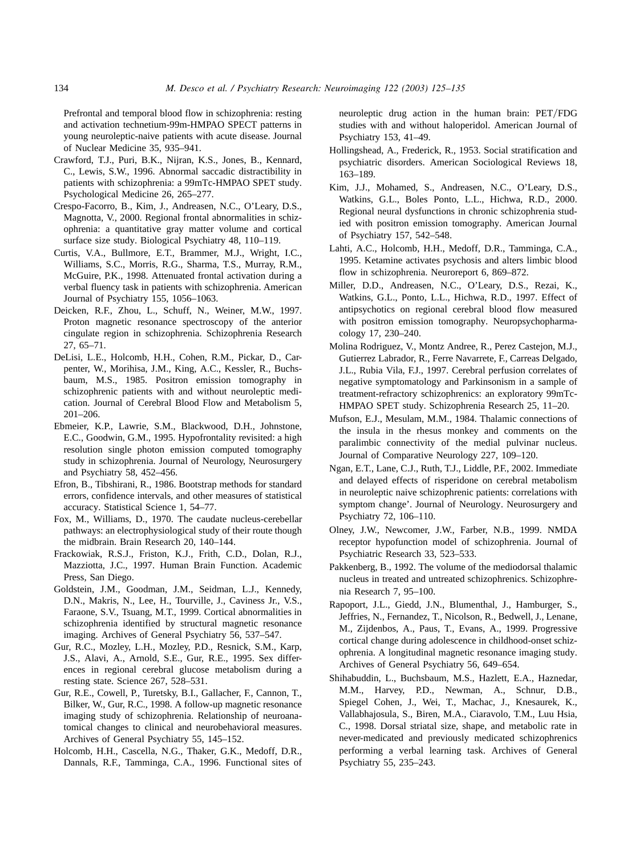<span id="page-9-0"></span>Prefrontal and temporal blood flow in schizophrenia: resting and activation technetium-99m-HMPAO SPECT patterns in young neuroleptic-naive patients with acute disease. Journal of Nuclear Medicine 35, 935–941.

- Crawford, T.J., Puri, B.K., Nijran, K.S., Jones, B., Kennard, C., Lewis, S.W., 1996. Abnormal saccadic distractibility in patients with schizophrenia: a 99mTc-HMPAO SPET study. Psychological Medicine 26, 265–277.
- Crespo-Facorro, B., Kim, J., Andreasen, N.C., O'Leary, D.S., Magnotta, V., 2000. Regional frontal abnormalities in schizophrenia: a quantitative gray matter volume and cortical surface size study. Biological Psychiatry 48, 110–119.
- Curtis, V.A., Bullmore, E.T., Brammer, M.J., Wright, I.C., Williams, S.C., Morris, R.G., Sharma, T.S., Murray, R.M., McGuire, P.K., 1998. Attenuated frontal activation during a verbal fluency task in patients with schizophrenia. American Journal of Psychiatry 155, 1056–1063.
- Deicken, R.F., Zhou, L., Schuff, N., Weiner, M.W., 1997. Proton magnetic resonance spectroscopy of the anterior cingulate region in schizophrenia. Schizophrenia Research 27, 65–71.
- DeLisi, L.E., Holcomb, H.H., Cohen, R.M., Pickar, D., Carpenter, W., Morihisa, J.M., King, A.C., Kessler, R., Buchsbaum, M.S., 1985. Positron emission tomography in schizophrenic patients with and without neuroleptic medication. Journal of Cerebral Blood Flow and Metabolism 5, 201–206.
- Ebmeier, K.P., Lawrie, S.M., Blackwood, D.H., Johnstone, E.C., Goodwin, G.M., 1995. Hypofrontality revisited: a high resolution single photon emission computed tomography study in schizophrenia. Journal of Neurology, Neurosurgery and Psychiatry 58, 452–456.
- Efron, B., Tibshirani, R., 1986. Bootstrap methods for standard errors, confidence intervals, and other measures of statistical accuracy. Statistical Science 1, 54–77.
- Fox, M., Williams, D., 1970. The caudate nucleus-cerebellar pathways: an electrophysiological study of their route though the midbrain. Brain Research 20, 140–144.
- Frackowiak, R.S.J., Friston, K.J., Frith, C.D., Dolan, R.J., Mazziotta, J.C., 1997. Human Brain Function. Academic Press, San Diego.
- Goldstein, J.M., Goodman, J.M., Seidman, L.J., Kennedy, D.N., Makris, N., Lee, H., Tourville, J., Caviness Jr., V.S., Faraone, S.V., Tsuang, M.T., 1999. Cortical abnormalities in schizophrenia identified by structural magnetic resonance imaging. Archives of General Psychiatry 56, 537–547.
- Gur, R.C., Mozley, L.H., Mozley, P.D., Resnick, S.M., Karp, J.S., Alavi, A., Arnold, S.E., Gur, R.E., 1995. Sex differences in regional cerebral glucose metabolism during a resting state. Science 267, 528–531.
- Gur, R.E., Cowell, P., Turetsky, B.I., Gallacher, F., Cannon, T., Bilker, W., Gur, R.C., 1998. A follow-up magnetic resonance imaging study of schizophrenia. Relationship of neuroanatomical changes to clinical and neurobehavioral measures. Archives of General Psychiatry 55, 145–152.
- Holcomb, H.H., Cascella, N.G., Thaker, G.K., Medoff, D.R., Dannals, R.F., Tamminga, C.A., 1996. Functional sites of

neuroleptic drug action in the human brain: PET/FDG studies with and without haloperidol. American Journal of Psychiatry 153, 41–49.

- Hollingshead, A., Frederick, R., 1953. Social stratification and psychiatric disorders. American Sociological Reviews 18, 163–189.
- Kim, J.J., Mohamed, S., Andreasen, N.C., O'Leary, D.S., Watkins, G.L., Boles Ponto, L.L., Hichwa, R.D., 2000. Regional neural dysfunctions in chronic schizophrenia studied with positron emission tomography. American Journal of Psychiatry 157, 542–548.
- Lahti, A.C., Holcomb, H.H., Medoff, D.R., Tamminga, C.A., 1995. Ketamine activates psychosis and alters limbic blood flow in schizophrenia. Neuroreport 6, 869–872.
- Miller, D.D., Andreasen, N.C., O'Leary, D.S., Rezai, K., Watkins, G.L., Ponto, L.L., Hichwa, R.D., 1997. Effect of antipsychotics on regional cerebral blood flow measured with positron emission tomography. Neuropsychopharmacology 17, 230–240.
- Molina Rodriguez, V., Montz Andree, R., Perez Castejon, M.J., Gutierrez Labrador, R., Ferre Navarrete, F., Carreas Delgado, J.L., Rubia Vila, F.J., 1997. Cerebral perfusion correlates of negative symptomatology and Parkinsonism in a sample of treatment-refractory schizophrenics: an exploratory 99mTc-HMPAO SPET study. Schizophrenia Research 25, 11–20.
- Mufson, E.J., Mesulam, M.M., 1984. Thalamic connections of the insula in the rhesus monkey and comments on the paralimbic connectivity of the medial pulvinar nucleus. Journal of Comparative Neurology 227, 109–120.
- Ngan, E.T., Lane, C.J., Ruth, T.J., Liddle, P.F., 2002. Immediate and delayed effects of risperidone on cerebral metabolism in neuroleptic naive schizophrenic patients: correlations with symptom change'. Journal of Neurology. Neurosurgery and Psychiatry 72, 106–110.
- Olney, J.W., Newcomer, J.W., Farber, N.B., 1999. NMDA receptor hypofunction model of schizophrenia. Journal of Psychiatric Research 33, 523–533.
- Pakkenberg, B., 1992. The volume of the mediodorsal thalamic nucleus in treated and untreated schizophrenics. Schizophrenia Research 7, 95–100.
- Rapoport, J.L., Giedd, J.N., Blumenthal, J., Hamburger, S., Jeffries, N., Fernandez, T., Nicolson, R., Bedwell, J., Lenane, M., Zijdenbos, A., Paus, T., Evans, A., 1999. Progressive cortical change during adolescence in childhood-onset schizophrenia. A longitudinal magnetic resonance imaging study. Archives of General Psychiatry 56, 649–654.
- Shihabuddin, L., Buchsbaum, M.S., Hazlett, E.A., Haznedar, M.M., Harvey, P.D., Newman, A., Schnur, D.B., Spiegel Cohen, J., Wei, T., Machac, J., Knesaurek, K., Vallabhajosula, S., Biren, M.A., Ciaravolo, T.M., Luu Hsia, C., 1998. Dorsal striatal size, shape, and metabolic rate in never-medicated and previously medicated schizophrenics performing a verbal learning task. Archives of General Psychiatry 55, 235–243.